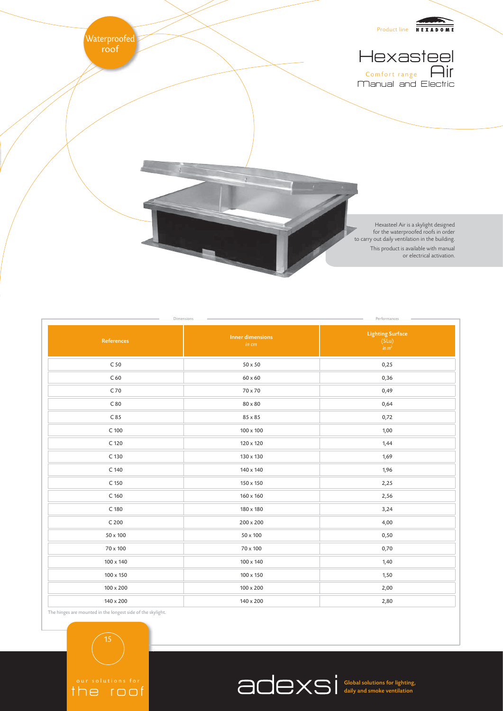

| <b>Inner dimensions</b><br>in cm | <b>Lighting Surface</b><br>$(SLu)$<br>$in m2$ |
|----------------------------------|-----------------------------------------------|
| $50 \times 50$                   | 0,25                                          |
| $60\times60$                     | 0,36                                          |
| 70 x 70                          | 0,49                                          |
| $80 \times 80$                   | 0,64                                          |
| 85 x 85                          | 0,72                                          |
| 100 x 100                        | 1,00                                          |
| 120 x 120                        | 1,44                                          |
| 130 x 130                        | 1,69                                          |
| 140 x 140                        | 1,96                                          |
| 150 x 150                        | 2,25                                          |
| 160 x 160                        | 2,56                                          |
| 180 x 180                        | 3,24                                          |
| $200 \times 200$                 | 4,00                                          |
| 50 x 100                         | 0,50                                          |
| 70 x 100                         | 0,70                                          |
| 100 x 140                        | 1,40                                          |
| 100 x 150                        | 1,50                                          |
| $100 \times 200$                 | 2,00                                          |
| 140 x 200                        | 2,80                                          |
|                                  |                                               |

The hinges are mounted in the longest side of the skylight.

15

the roof

Global solutions for lighting, daily and smoke ventilation